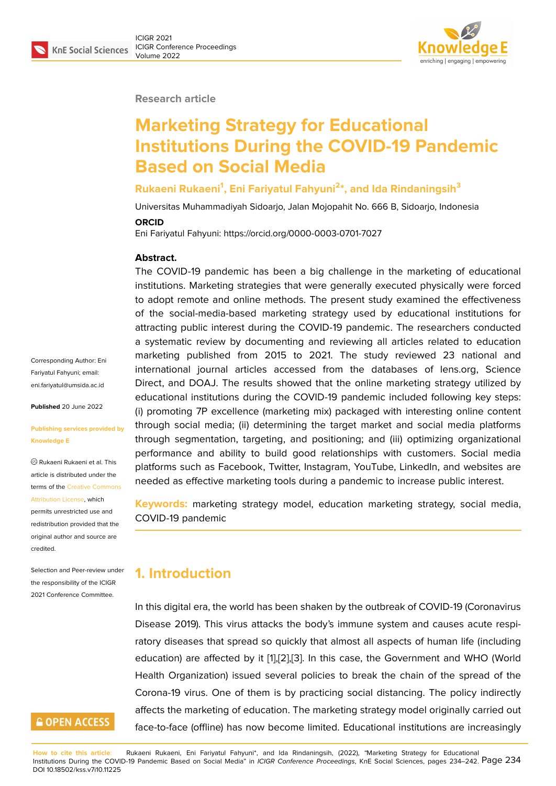#### **Research article**

# **Marketing Strategy for Educational Institutions During the COVID-19 Pandemic Based on Social Media**

#### **Rukaeni Rukaeni<sup>1</sup> , Eni Fariyatul Fahyuni<sup>2</sup> \*, and Ida Rindaningsih<sup>3</sup>**

Universitas Muhammadiyah Sidoarjo, Jalan Mojopahit No. 666 B, Sidoarjo, Indonesia

#### **ORCID**

Eni Fariyatul Fahyuni: https://orcid.org/0000-0003-0701-7027

#### **Abstract.**

The COVID-19 pandemic has been a big challenge in the marketing of educational institutions. Marketing strategies that were generally executed physically were forced to adopt remote and online methods. The present study examined the effectiveness of the social-media-based marketing strategy used by educational institutions for attracting public interest during the COVID-19 pandemic. The researchers conducted a systematic review by documenting and reviewing all articles related to education marketing published from 2015 to 2021. The study reviewed 23 national and international journal articles accessed from the databases of lens.org, Science Direct, and DOAJ. The results showed that the online marketing strategy utilized by educational institutions during the COVID-19 pandemic included following key steps: (i) promoting 7P excellence (marketing mix) packaged with interesting online content through social media; (ii) determining the target market and social media platforms through segmentation, targeting, and positioning; and (iii) optimizing organizational performance and ability to build good relationships with customers. Social media platforms such as Facebook, Twitter, Instagram, YouTube, LinkedIn, and websites are needed as effective marketing tools during a pandemic to increase public interest.

**Keywords:** marketing strategy model, education marketing strategy, social media, COVID-19 pandemic

#### **1. Introduction**

In this digital era, the world has been shaken by the outbreak of COVID-19 (Coronavirus Disease 2019). This virus attacks the body's immune system and causes acute respiratory diseases that spread so quickly that almost all aspects of human life (including education) are affected by it [1],[2],[3]. In this case, the Government and WHO (World Health Organization) issued several policies to break the chain of the spread of the Corona-19 virus. One of them is by practicing social distancing. The policy indirectly affects the marketing of educ[at](#page-6-0)i[on](#page-6-1). [Th](#page-6-2)e marketing strategy model originally carried out face-to-face (offline) has now become limited. Educational institutions are increasingly

Corresponding Author: Eni Fariyatul Fahyuni; email: eni.fariyatul@umsida.ac.id

**Published** 20 June 2022

#### **[Publishing services provi](mailto:eni.fariyatul@umsida.ac.id)ded by Knowledge E**

Rukaeni Rukaeni et al. This article is distributed under the terms of the Creative Commons Attribution License, which

permits unrestricted use and redistribution provided that the original auth[or and source are](https://creativecommons.org/licenses/by/4.0/) [credited.](https://creativecommons.org/licenses/by/4.0/)

Selection and Peer-review under the responsibility of the ICIGR 2021 Conference Committee.

### **GOPEN ACCESS**

**How to cite this article**: Rukaeni Rukaeni, Eni Fariyatul Fahyuni\*, and Ida Rindaningsih, (2022), "Marketing Strategy for Educational Institutions During the COVID-19 Pandemic Based on Social Media" in *ICIGR Conference Proceedings*, KnE Social Sciences, pages 234–242. Page 234 DOI 10.18502/kss.v7i10.11225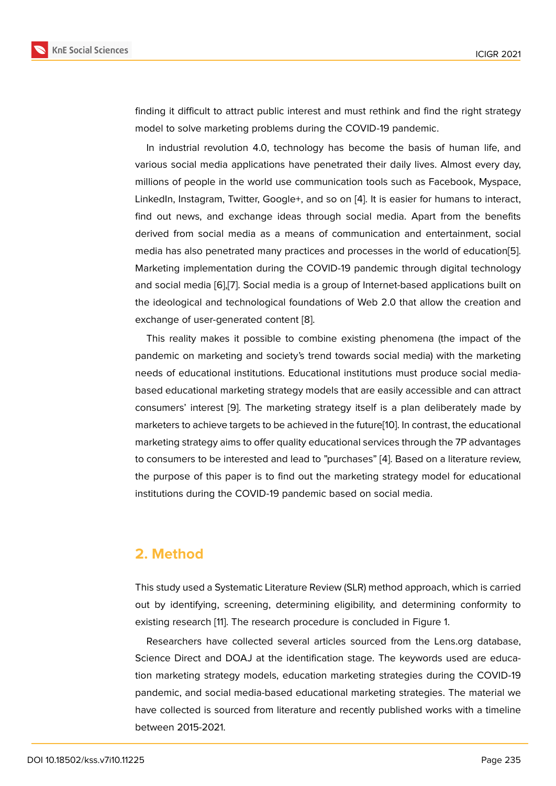finding it difficult to attract public interest and must rethink and find the right strategy model to solve marketing problems during the COVID-19 pandemic.

In industrial revolution 4.0, technology has become the basis of human life, and various social media applications have penetrated their daily lives. Almost every day, millions of people in the world use communication tools such as Facebook, Myspace, LinkedIn, Instagram, Twitter, Google+, and so on [4]. It is easier for humans to interact, find out news, and exchange ideas through social media. Apart from the benefits derived from social media as a means of communication and entertainment, social media has also penetrated many practices and pr[oc](#page-6-3)esses in the world of education[5]. Marketing implementation during the COVID-19 pandemic through digital technology and social media [6],[7]. Social media is a group of Internet-based applications built on the ideological and technological foundations of Web 2.0 that allow the creation a[nd](#page-6-4) exchange of user-generated content [8].

This reality ma[ke](#page-6-5)s [i](#page-6-6)t possible to combine existing phenomena (the impact of the pandemic on marketing and society's trend towards social media) with the marketing needs of educational institutions. Ed[uc](#page-7-0)ational institutions must produce social mediabased educational marketing strategy models that are easily accessible and can attract consumers' interest [9]. The marketing strategy itself is a plan deliberately made by marketers to achieve targets to be achieved in the future[10]. In contrast, the educational marketing strategy aims to offer quality educational services through the 7P advantages to consumers to be i[nte](#page-7-1)rested and lead to "purchases" [4]. Based on a literature review, the purpose of this paper is to find out the marketing [stra](#page-7-2)tegy model for educational institutions during the COVID-19 pandemic based on social media.

#### **2. Method**

This study used a Systematic Literature Review (SLR) method approach, which is carried out by identifying, screening, determining eligibility, and determining conformity to existing research [11]. The research procedure is concluded in Figure 1.

Researchers have collected several articles sourced from the Lens.org database, Science Direct and DOAJ at the identification stage. The keywords used are education marketing str[ate](#page-7-3)gy models, education marketing strategies duri[n](#page-2-0)g the COVID-19 pandemic, and social media-based educational marketing strategies. The material we have collected is sourced from literature and recently published works with a timeline between 2015-2021.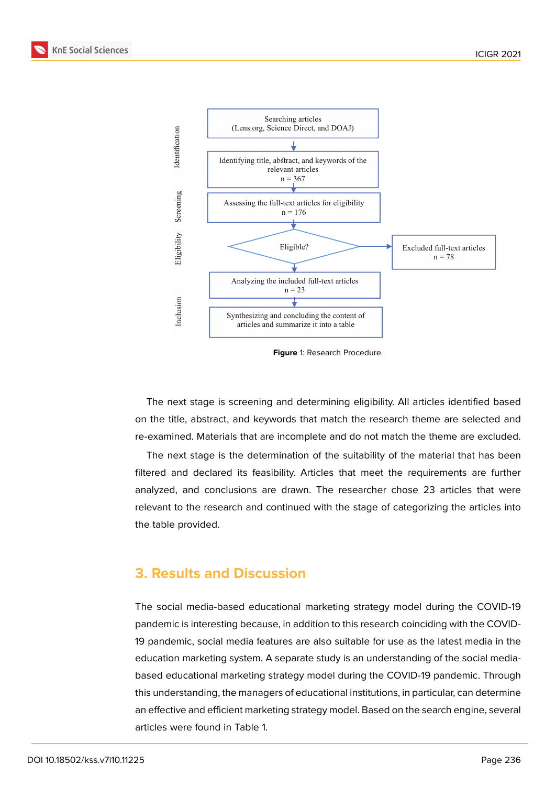

<span id="page-2-0"></span>**Figure** 1: Research Procedure.

The next stage is screening and determining eligibility. All articles identified based on the title, abstract, and keywords that match the research theme are selected and re-examined. Materials that are incomplete and do not match the theme are excluded.

The next stage is the determination of the suitability of the material that has been filtered and declared its feasibility. Articles that meet the requirements are further analyzed, and conclusions are drawn. The researcher chose 23 articles that were relevant to the research and continued with the stage of categorizing the articles into the table provided.

### **3. Results and Discussion**

The social media-based educational marketing strategy model during the COVID-19 pandemic is interesting because, in addition to this research coinciding with the COVID-19 pandemic, social media features are also suitable for use as the latest media in the education marketing system. A separate study is an understanding of the social mediabased educational marketing strategy model during the COVID-19 pandemic. Through this understanding, the managers of educational institutions, in particular, can determine an effective and efficient marketing strategy model. Based on the search engine, several articles were found in Table 1.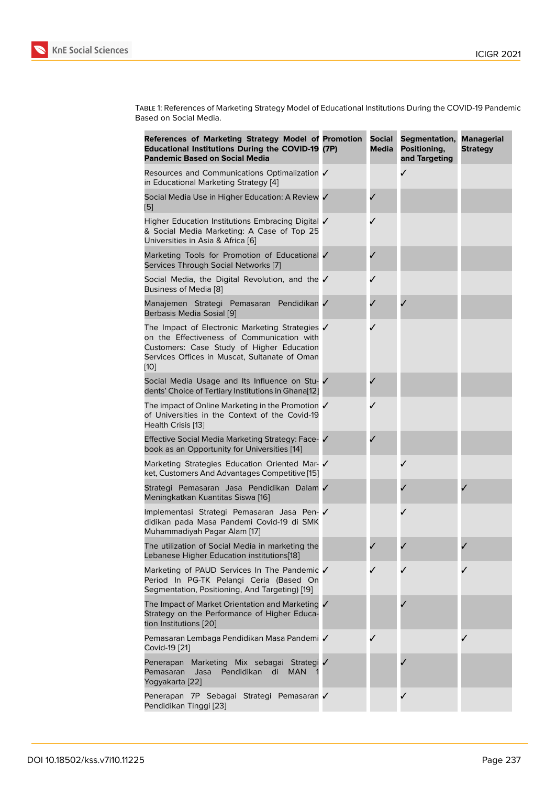Table 1: References of Marketing Strategy Model of Educational Institutions During the COVID-19 Pandemic Based on Social Media.

| References of Marketing Strategy Model of Promotion<br><b>Educational Institutions During the COVID-19 (7P)</b><br><b>Pandemic Based on Social Media</b>                                              | <b>Social</b><br>Media | Segmentation,<br>Positioning,<br>and Targeting | <b>Managerial</b><br><b>Strategy</b> |
|-------------------------------------------------------------------------------------------------------------------------------------------------------------------------------------------------------|------------------------|------------------------------------------------|--------------------------------------|
| Resources and Communications Optimalization ✔<br>in Educational Marketing Strategy [4]                                                                                                                |                        | ✓                                              |                                      |
| Social Media Use in Higher Education: A Review /<br>[5]                                                                                                                                               |                        |                                                |                                      |
| Higher Education Institutions Embracing Digital √<br>& Social Media Marketing: A Case of Top 25<br>Universities in Asia & Africa [6]                                                                  |                        |                                                |                                      |
| Marketing Tools for Promotion of Educational √<br>Services Through Social Networks [7]                                                                                                                |                        |                                                |                                      |
| Social Media, the Digital Revolution, and the √<br>Business of Media [8]                                                                                                                              |                        |                                                |                                      |
| Manajemen Strategi Pemasaran Pendidikan<br>Berbasis Media Sosial [9]                                                                                                                                  |                        |                                                |                                      |
| The Impact of Electronic Marketing Strategies √<br>on the Effectiveness of Communication with<br>Customers: Case Study of Higher Education<br>Services Offices in Muscat, Sultanate of Oman<br>$[10]$ |                        |                                                |                                      |
| Social Media Usage and Its Influence on Stu- V<br>dents' Choice of Tertiary Institutions in Ghana[12]                                                                                                 |                        |                                                |                                      |
| The impact of Online Marketing in the Promotion ✔<br>of Universities in the Context of the Covid-19<br>Health Crisis [13]                                                                             |                        |                                                |                                      |
| Effective Social Media Marketing Strategy: Face- √<br>book as an Opportunity for Universities [14]                                                                                                    |                        |                                                |                                      |
| Marketing Strategies Education Oriented Mar- √<br>ket, Customers And Advantages Competitive [15]                                                                                                      |                        |                                                |                                      |
| Strategi Pemasaran Jasa Pendidikan Dalam √<br>Meningkatkan Kuantitas Siswa [16]                                                                                                                       |                        |                                                |                                      |
| Implementasi Strategi Pemasaran Jasa Pen-<br>didikan pada Masa Pandemi Covid-19 di SMK<br>Muhammadiyah Pagar Alam [17]                                                                                |                        |                                                |                                      |
| The utilization of Social Media in marketing the<br>Lebanese Higher Education institutions[18]                                                                                                        |                        |                                                |                                      |
| Marketing of PAUD Services In The Pandemic √<br>Period In PG-TK Pelangi Ceria (Based On<br>Segmentation, Positioning, And Targeting) [19]                                                             |                        |                                                |                                      |
| The Impact of Market Orientation and Marketing √<br>Strategy on the Performance of Higher Educa-<br>tion Institutions [20]                                                                            |                        |                                                |                                      |
| Pemasaran Lembaga Pendidikan Masa Pandemi √<br>Covid-19 [21]                                                                                                                                          |                        |                                                |                                      |
| Penerapan Marketing Mix sebagai Strategi /<br>Pendidikan<br><b>MAN</b><br>Pemasaran<br>Jasa<br>di<br>Yogyakarta [22]                                                                                  |                        |                                                |                                      |
| Penerapan 7P Sebagai Strategi Pemasaran √<br>Pendidikan Tinggi [23]                                                                                                                                   |                        | ✓                                              |                                      |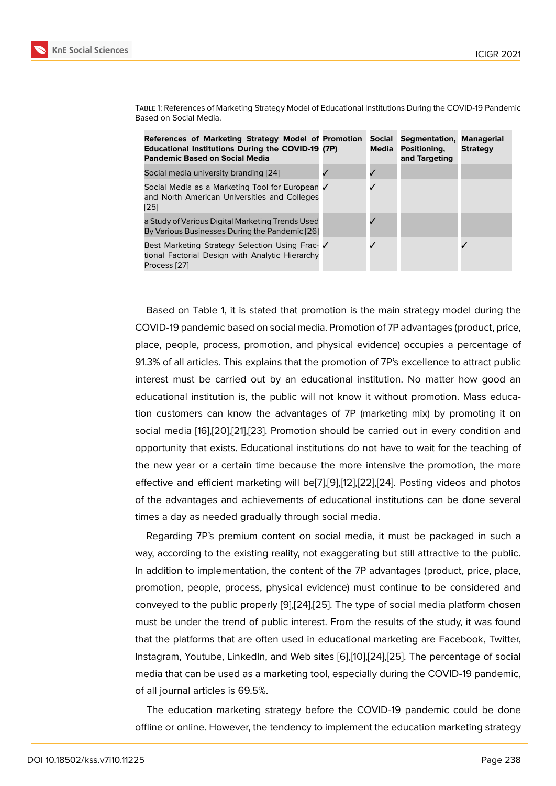| References of Marketing Strategy Model of Promotion<br><b>Educational Institutions During the COVID-19 (7P)</b><br><b>Pandemic Based on Social Media</b> | Social<br>Media | <b>Segmentation,</b><br>Positioning,<br>and Targeting | Managerial<br><b>Strategy</b> |
|----------------------------------------------------------------------------------------------------------------------------------------------------------|-----------------|-------------------------------------------------------|-------------------------------|
| Social media university branding [24]                                                                                                                    |                 |                                                       |                               |
| Social Media as a Marketing Tool for European √<br>and North American Universities and Colleges<br>[25]                                                  |                 |                                                       |                               |
| a Study of Various Digital Marketing Trends Used<br>By Various Businesses During the Pandemic [26]                                                       |                 |                                                       |                               |
| Best Marketing Strategy Selection Using Frac- √<br>tional Factorial Design with Analytic Hierarchy<br>Process [27]                                       |                 |                                                       |                               |

Table 1: References of Marketing Strategy Model of Educational Institutions During the COVID-19 Pandemic Based on Social Media.

Based [on](#page-8-5) Table 1, it is stated that promotion is the main strategy model during the COVID-19 pandemic based on social media. Promotion of 7P advantages (product, price, place, people, process, promotion, and physical evidence) occupies a percentage of 91.3% of all articles. This explains that the promotion of 7P's excellence to attract public interest must be carried out by an educational institution. No matter how good an educational institution is, the public will not know it without promotion. Mass education customers can know the advantages of 7P (marketing mix) by promoting it on social media [16],[20],[21],[23]. Promotion should be carried out in every condition and opportunity that exists. Educational institutions do not have to wait for the teaching of the new year or a certain time because the more intensive the promotion, the more effective and [eff](#page-7-8)i[cien](#page-8-1)t [m](#page-8-2)a[rke](#page-8-6)ting will be[7],[9],[12],[22],[24]. Posting videos and photos of the advantages and achievements of educational institutions can be done several times a day as needed gradually through social media.

Regarding 7P's premium content on [so](#page-6-6)[cia](#page-7-1)l [m](#page-7-4)e[dia,](#page-8-7) [it m](#page-8-3)ust be packaged in such a way, according to the existing reality, not exaggerating but still attractive to the public. In addition to implementation, the content of the 7P advantages (product, price, place, promotion, people, process, physical evidence) must continue to be considered and conveyed to the public properly [9],[24],[25]. The type of social media platform chosen must be under the trend of public interest. From the results of the study, it was found that the platforms that are often used in educational marketing are Facebook, Twitter, Instagram, Youtube, LinkedIn, an[d](#page-7-1) [Web](#page-8-3) [site](#page-8-4)s [6],[10],[24],[25]. The percentage of social media that can be used as a marketing tool, especially during the COVID-19 pandemic, of all journal articles is 69.5%.

The education marketing strategy before [th](#page-6-5)[e C](#page-7-2)[OVID](#page-8-3)[-19](#page-8-4) pandemic could be done offline or online. However, the tendency to implement the education marketing strategy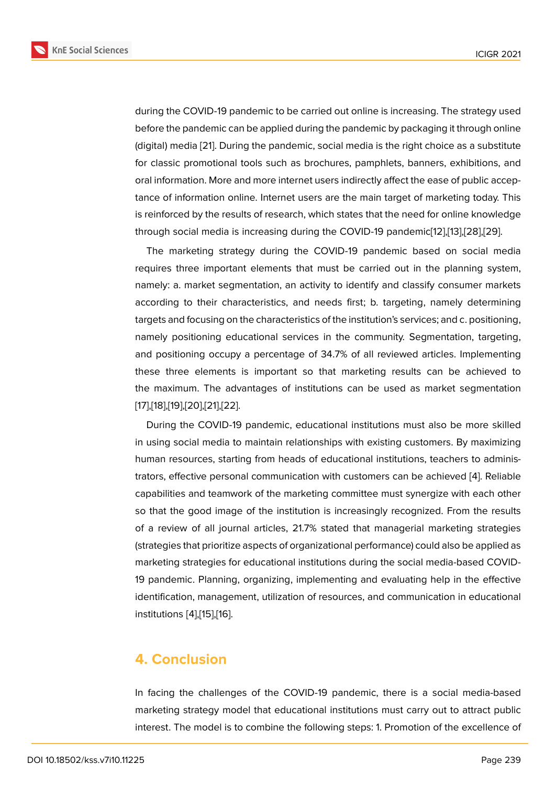during the COVID-19 pandemic to be carried out online is increasing. The strategy used before the pandemic can be applied during the pandemic by packaging it through online (digital) media [21]. During the pandemic, social media is the right choice as a substitute for classic promotional tools such as brochures, pamphlets, banners, exhibitions, and oral information. More and more internet users indirectly affect the ease of public acceptance of infor[mati](#page-8-2)on online. Internet users are the main target of marketing today. This is reinforced by the results of research, which states that the need for online knowledge through social media is increasing during the COVID-19 pandemic[12],[13],[28],[29].

The marketing strategy during the COVID-19 pandemic based on social media requires three important elements that must be carried out in the planning system, namely: a. market segmentation, an activity to identify and classif[y c](#page-7-4)o[ns](#page-7-5)u[me](#page-8-8)r [ma](#page-8-9)rkets according to their characteristics, and needs first; b. targeting, namely determining targets and focusing on the characteristics of the institution's services; and c. positioning, namely positioning educational services in the community. Segmentation, targeting, and positioning occupy a percentage of 34.7% of all reviewed articles. Implementing these three elements is important so that marketing results can be achieved to the maximum. The advantages of institutions can be used as market segmentation [17],[18],[19],[20],[21],[22].

During the COVID-19 pandemic, educational institutions must also be more skilled in using social media to maintain relationships with existing customers. By maximizing [hu](#page-7-9)[man](#page-7-10) [res](#page-8-0)[ourc](#page-8-1)[es,](#page-8-2) s[tart](#page-8-7)ing from heads of educational institutions, teachers to administrators, effective personal communication with customers can be achieved [4]. Reliable capabilities and teamwork of the marketing committee must synergize with each other so that the good image of the institution is increasingly recognized. From the results of a review of all journal articles, 21.7% stated that managerial marketin[g s](#page-6-3)trategies (strategies that prioritize aspects of organizational performance) could also be applied as marketing strategies for educational institutions during the social media-based COVID-19 pandemic. Planning, organizing, implementing and evaluating help in the effective identification, management, utilization of resources, and communication in educational institutions [4],[15],[16].

### **4. Conc[lu](#page-6-3)[sio](#page-7-7)[n](#page-7-8)**

In facing the challenges of the COVID-19 pandemic, there is a social media-based marketing strategy model that educational institutions must carry out to attract public interest. The model is to combine the following steps: 1. Promotion of the excellence of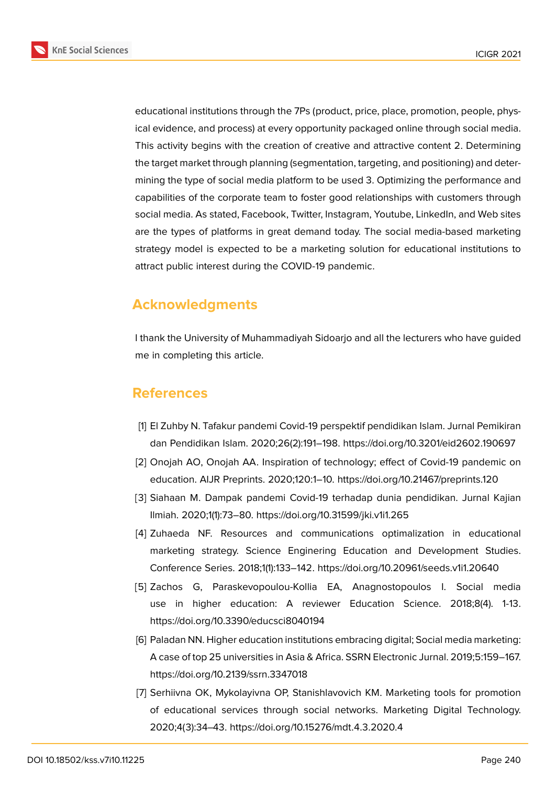**KnE Social Sciences** 



educational institutions through the 7Ps (product, price, place, promotion, people, physical evidence, and process) at every opportunity packaged online through social media. This activity begins with the creation of creative and attractive content 2. Determining the target market through planning (segmentation, targeting, and positioning) and determining the type of social media platform to be used 3. Optimizing the performance and capabilities of the corporate team to foster good relationships with customers through social media. As stated, Facebook, Twitter, Instagram, Youtube, LinkedIn, and Web sites are the types of platforms in great demand today. The social media-based marketing strategy model is expected to be a marketing solution for educational institutions to attract public interest during the COVID-19 pandemic.

## **Acknowledgments**

I thank the University of Muhammadiyah Sidoarjo and all the lecturers who have guided me in completing this article.

### **References**

- <span id="page-6-0"></span>[1] El Zuhby N. Tafakur pandemi Covid-19 perspektif pendidikan Islam. Jurnal Pemikiran dan Pendidikan Islam. 2020;26(2):191–198. https://doi.org/10.3201/eid2602.190697
- <span id="page-6-1"></span>[2] Onojah AO, Onojah AA. Inspiration of technology; effect of Covid-19 pandemic on education. AIJR Preprints. 2020;120:1–10. https://doi.org/10.21467/preprints.120
- <span id="page-6-2"></span>[3] Siahaan M. Dampak pandemi Covid-19 terhadap dunia pendidikan. Jurnal Kajian Ilmiah. 2020;1(1):73–80. https://doi.org/10.31599/jki.v1i1.265
- <span id="page-6-3"></span>[4] Zuhaeda NF. Resources and communications optimalization in educational marketing strategy. Science Enginering Education and Development Studies. Conference Series. 2018;1(1):133–142. https://doi.org/10.20961/seeds.v1i1.20640
- <span id="page-6-4"></span>[5] Zachos G, Paraskevopoulou-Kollia EA, Anagnostopoulos I. Social media use in higher education: A reviewer Education Science. 2018;8(4). 1-13. https://doi.org/10.3390/educsci8040194
- <span id="page-6-5"></span>[6] Paladan NN. Higher education institutions embracing digital; Social media marketing: A case of top 25 universities in Asia & Africa. SSRN Electronic Jurnal. 2019;5:159–167. https://doi.org/10.2139/ssrn.3347018
- <span id="page-6-6"></span>[7] Serhiivna OK, Mykolayivna OP, Stanishlavovich KM. Marketing tools for promotion of educational services through social networks. Marketing Digital Technology. 2020;4(3):34–43. https://doi.org/10.15276/mdt.4.3.2020.4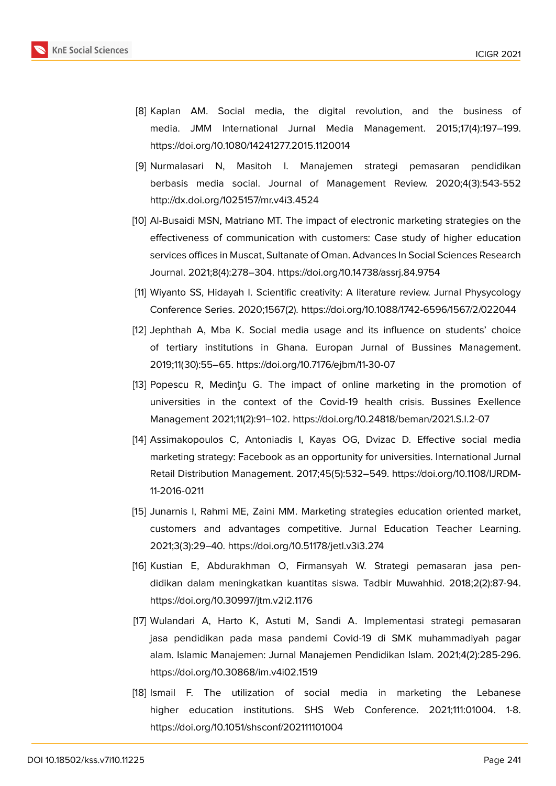

- <span id="page-7-0"></span>[8] Kaplan AM. Social media, the digital revolution, and the business of media. JMM International Jurnal Media Management. 2015;17(4):197–199. https://doi.org/10.1080/14241277.2015.1120014
- <span id="page-7-1"></span>[9] Nurmalasari N, Masitoh I. Manajemen strategi pemasaran pendidikan berbasis media social. Journal of Management Review. 2020;4(3):543-552 http://dx.doi.org/1025157/mr.v4i3.4524
- <span id="page-7-2"></span>[10] Al-Busaidi MSN, Matriano MT. The impact of electronic marketing strategies on the effectiveness of communication with customers: Case study of higher education services offices in Muscat, Sultanate of Oman. Advances In Social Sciences Research Journal. 2021;8(4):278–304. https://doi.org/10.14738/assrj.84.9754
- <span id="page-7-3"></span>[11] Wiyanto SS, Hidayah I. Scientific creativity: A literature review. Jurnal Physycology Conference Series. 2020;1567(2). https://doi.org/10.1088/1742-6596/1567/2/022044
- <span id="page-7-4"></span>[12] Jephthah A, Mba K. Social media usage and its influence on students' choice of tertiary institutions in Ghana. Europan Jurnal of Bussines Management. 2019;11(30):55–65. https://doi.org/10.7176/ejbm/11-30-07
- <span id="page-7-5"></span>[13] Popescu R, Medințu G. The impact of online marketing in the promotion of universities in the context of the Covid-19 health crisis. Bussines Exellence Management 2021;11(2):91–102. https://doi.org/10.24818/beman/2021.S.I.2-07
- <span id="page-7-6"></span>[14] Assimakopoulos C, Antoniadis I, Kayas OG, Dvizac D. Effective social media marketing strategy: Facebook as an opportunity for universities. International Jurnal Retail Distribution Management. 2017;45(5):532–549. https://doi.org/10.1108/IJRDM-11-2016-0211
- <span id="page-7-7"></span>[15] Junarnis I, Rahmi ME, Zaini MM. Marketing strategies education oriented market, customers and advantages competitive. Jurnal Education Teacher Learning. 2021;3(3):29–40. https://doi.org/10.51178/jetl.v3i3.274
- <span id="page-7-8"></span>[16] Kustian E, Abdurakhman O, Firmansyah W. Strategi pemasaran jasa pendidikan dalam meningkatkan kuantitas siswa. Tadbir Muwahhid. 2018;2(2):87-94. https://doi.org/10.30997/jtm.v2i2.1176
- <span id="page-7-9"></span>[17] Wulandari A, Harto K, Astuti M, Sandi A. Implementasi strategi pemasaran jasa pendidikan pada masa pandemi Covid-19 di SMK muhammadiyah pagar alam. Islamic Manajemen: Jurnal Manajemen Pendidikan Islam. 2021;4(2):285-296. https://doi.org/10.30868/im.v4i02.1519
- <span id="page-7-10"></span>[18] Ismail F. The utilization of social media in marketing the Lebanese higher education institutions. SHS Web Conference. 2021;111:01004. 1-8. https://doi.org/10.1051/shsconf/202111101004